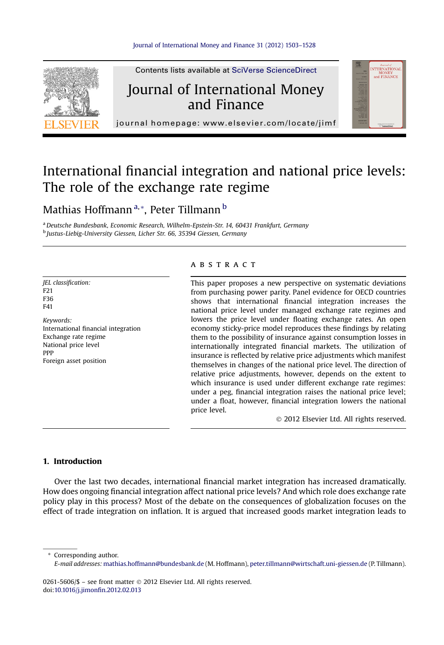

Contents lists available at SciVerse ScienceDirect

# Journal of International Money and Finance



journal homepage:<www.elsevier.com/locate/jimf>

# International financial integration and national price levels: The role of the exchange rate regime

### Mathias Hoffmann<sup>a,</sup>\*, Peter Tillmann <sup>b</sup>

a Deutsche Bundesbank, Economic Research, Wilhelm-Epstein-Str. 14, 60431 Frankfurt, Germany <sup>b</sup> Justus-Liebig-University Giessen, Licher Str. 66, 35394 Giessen, Germany

JEL classification: F21 F36 F41 Keywords: International financial integration Exchange rate regime National price level

Foreign asset position

PPP

#### **ABSTRACT**

This paper proposes a new perspective on systematic deviations from purchasing power parity. Panel evidence for OECD countries shows that international financial integration increases the national price level under managed exchange rate regimes and lowers the price level under floating exchange rates. An open economy sticky-price model reproduces these findings by relating them to the possibility of insurance against consumption losses in internationally integrated financial markets. The utilization of insurance is reflected by relative price adjustments which manifest themselves in changes of the national price level. The direction of relative price adjustments, however, depends on the extent to which insurance is used under different exchange rate regimes: under a peg, financial integration raises the national price level; under a float, however, financial integration lowers the national price level.

2012 Elsevier Ltd. All rights reserved.

#### 1. Introduction

Over the last two decades, international financial market integration has increased dramatically. How does ongoing financial integration affect national price levels? And which role does exchange rate policy play in this process? Most of the debate on the consequences of globalization focuses on the effect of trade integration on inflation. It is argued that increased goods market integration leads to

\* Corresponding author.

0261-5606/\$ - see front matter © 2012 Elsevier Ltd. All rights reserved. doi[:10.1016/j.jimon](http://dx.doi.org/10.1016/j.jimonfin.2012.02.013)fin.2012.02.013

E-mail addresses: [mathias.hoffmann@bundesbank.de](mailto:mathias.hoffmann@bundesbank.de) (M. Hoffmann), [peter.tillmann@wirtschaft.uni-giessen.de](mailto:peter.tillmann@wirtschaft.uni-giessen.de) (P. Tillmann).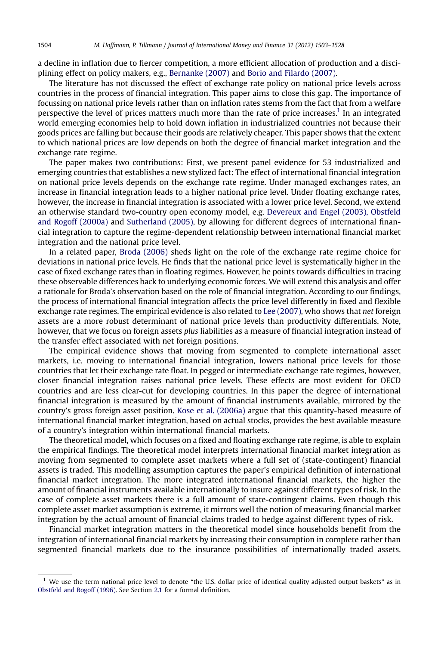a decline in inflation due to fiercer competition, a more efficient allocation of production and a disciplining effect on policy makers, e.g., [Bernanke \(2007\)](#page--1-0) and [Borio and Filardo \(2007\).](#page--1-0)

The literature has not discussed the effect of exchange rate policy on national price levels across countries in the process of financial integration. This paper aims to close this gap. The importance of focussing on national price levels rather than on inflation rates stems from the fact that from a welfare perspective the level of prices matters much more than the rate of price increases.<sup>1</sup> In an integrated world emerging economies help to hold down inflation in industrialized countries not because their goods prices are falling but because their goods are relatively cheaper. This paper shows that the extent to which national prices are low depends on both the degree of financial market integration and the exchange rate regime.

The paper makes two contributions: First, we present panel evidence for 53 industrialized and emerging countries that establishes a new stylized fact: The effect of international financial integration on national price levels depends on the exchange rate regime. Under managed exchanges rates, an increase in financial integration leads to a higher national price level. Under floating exchange rates, however, the increase in financial integration is associated with a lower price level. Second, we extend an otherwise standard two-country open economy model, e.g. [Devereux and Engel \(2003\), Obstfeld](#page--1-0) [and Rogoff \(2000a\)](#page--1-0) and [Sutherland \(2005\),](#page--1-0) by allowing for different degrees of international financial integration to capture the regime-dependent relationship between international financial market integration and the national price level.

In a related paper, [Broda \(2006\)](#page--1-0) sheds light on the role of the exchange rate regime choice for deviations in national price levels. He finds that the national price level is systematically higher in the case of fixed exchange rates than in floating regimes. However, he points towards difficulties in tracing these observable differences back to underlying economic forces. We will extend this analysis and offer a rationale for Broda's observation based on the role of financial integration. According to our findings, the process of international financial integration affects the price level differently in fixed and flexible exchange rate regimes. The empirical evidence is also related to [Lee \(2007\)](#page--1-0), who shows that net foreign assets are a more robust determinant of national price levels than productivity differentials. Note, however, that we focus on foreign assets plus liabilities as a measure of financial integration instead of the transfer effect associated with net foreign positions.

The empirical evidence shows that moving from segmented to complete international asset markets, i.e. moving to international financial integration, lowers national price levels for those countries that let their exchange rate float. In pegged or intermediate exchange rate regimes, however, closer financial integration raises national price levels. These effects are most evident for OECD countries and are less clear-cut for developing countries. In this paper the degree of international financial integration is measured by the amount of financial instruments available, mirrored by the country's gross foreign asset position. [Kose et al. \(2006a\)](#page--1-0) argue that this quantity-based measure of international financial market integration, based on actual stocks, provides the best available measure of a country's integration within international financial markets.

The theoretical model, which focuses on a fixed and floating exchange rate regime, is able to explain the empirical findings. The theoretical model interprets international financial market integration as moving from segmented to complete asset markets where a full set of (state-contingent) financial assets is traded. This modelling assumption captures the paper's empirical definition of international financial market integration. The more integrated international financial markets, the higher the amount of financial instruments available internationally to insure against different types of risk. In the case of complete asset markets there is a full amount of state-contingent claims. Even though this complete asset market assumption is extreme, it mirrors well the notion of measuring financial market integration by the actual amount of financial claims traded to hedge against different types of risk.

Financial market integration matters in the theoretical model since households benefit from the integration of international financial markets by increasing their consumption in complete rather than segmented financial markets due to the insurance possibilities of internationally traded assets.

 $<sup>1</sup>$  We use the term national price level to denote "the U.S. dollar price of identical quality adjusted output baskets" as in</sup> [Obstfeld and Rogoff \(1996\).](#page--1-0) See Section [2.1](#page--1-0) for a formal definition.